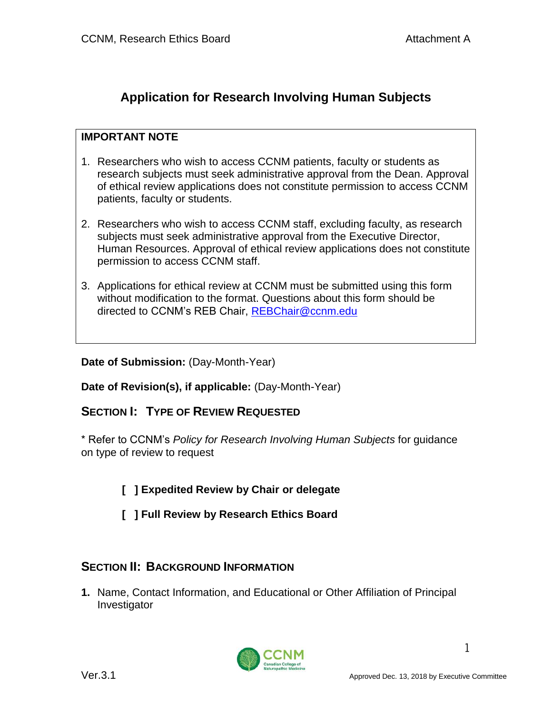# **Application for Research Involving Human Subjects**

### **IMPORTANT NOTE**

- 1. Researchers who wish to access CCNM patients, faculty or students as research subjects must seek administrative approval from the Dean. Approval of ethical review applications does not constitute permission to access CCNM patients, faculty or students.
- 2. Researchers who wish to access CCNM staff, excluding faculty, as research subjects must seek administrative approval from the Executive Director, Human Resources. Approval of ethical review applications does not constitute permission to access CCNM staff.
- 3. Applications for ethical review at CCNM must be submitted using this form without modification to the format. Questions about this form should be directed to CCNM's REB Chair, [REBChair@ccnm.edu](mailto:REBChair@ccnm.edu)

**Date of Submission:** (Day-Month-Year)

**Date of Revision(s), if applicable:** (Day-Month-Year)

## **SECTION I: TYPE OF REVIEW REQUESTED**

\* Refer to CCNM's *Policy for Research Involving Human Subjects* for guidance on type of review to request

- **[ ] Expedited Review by Chair or delegate**
- **[ ] Full Review by Research Ethics Board**

## **SECTION II: BACKGROUND INFORMATION**

**1.** Name, Contact Information, and Educational or Other Affiliation of Principal Investigator

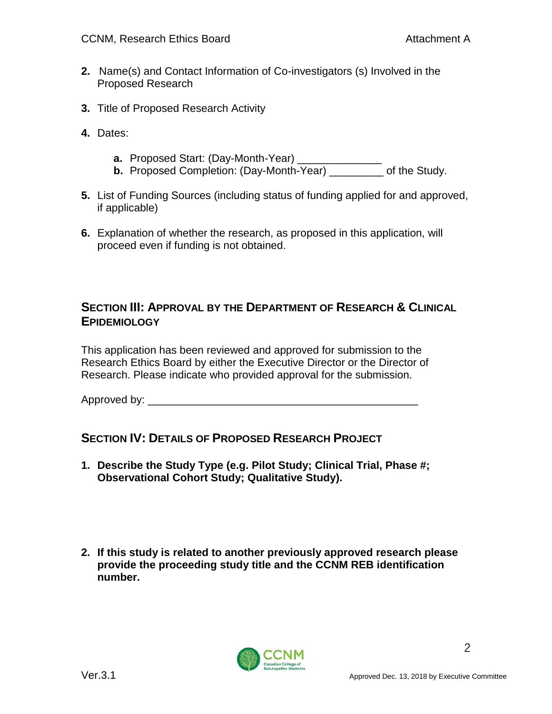- **2.** Name(s) and Contact Information of Co-investigators (s) Involved in the Proposed Research
- **3.** Title of Proposed Research Activity
- **4.** Dates:
	- **a.** Proposed Start: (Day-Month-Year) \_\_\_\_\_\_\_\_\_\_\_\_\_\_
	- **b.** Proposed Completion: (Day-Month-Year) \_\_\_\_\_\_\_\_\_ of the Study.
- **5.** List of Funding Sources (including status of funding applied for and approved, if applicable)
- **6.** Explanation of whether the research, as proposed in this application, will proceed even if funding is not obtained.

## **SECTION III: APPROVAL BY THE DEPARTMENT OF RESEARCH & CLINICAL EPIDEMIOLOGY**

This application has been reviewed and approved for submission to the Research Ethics Board by either the Executive Director or the Director of Research. Please indicate who provided approval for the submission.

Approved by: \_\_\_\_\_\_\_\_\_\_\_\_\_\_\_\_\_\_\_\_\_\_\_\_\_\_\_\_\_\_\_\_\_\_\_\_\_\_\_\_\_\_\_\_\_

## **SECTION IV: DETAILS OF PROPOSED RESEARCH PROJECT**

- **1. Describe the Study Type (e.g. Pilot Study; Clinical Trial, Phase #; Observational Cohort Study; Qualitative Study).**
- **2. If this study is related to another previously approved research please provide the proceeding study title and the CCNM REB identification number.**

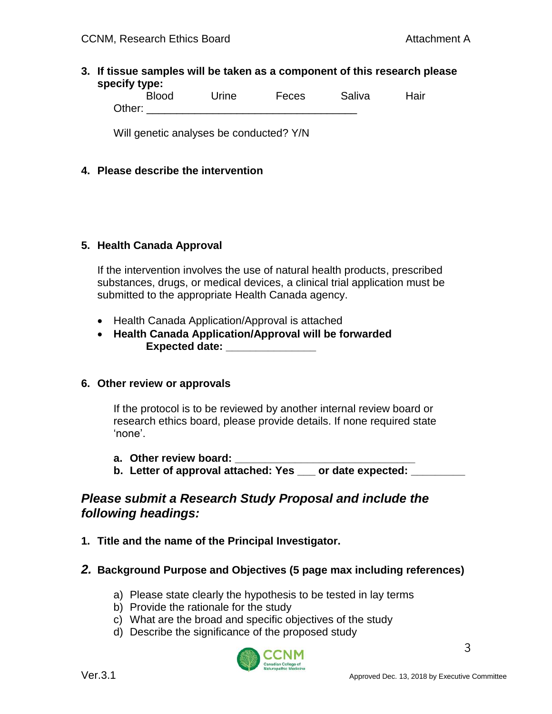#### **3. If tissue samples will be taken as a component of this research please specify type:**

Blood Urine Feces Saliva Hair Other:  $\Box$ 

Will genetic analyses be conducted? Y/N

#### **4. Please describe the intervention**

#### **5. Health Canada Approval**

If the intervention involves the use of natural health products, prescribed substances, drugs, or medical devices, a clinical trial application must be submitted to the appropriate Health Canada agency.

- Health Canada Application/Approval is attached
- **Health Canada Application/Approval will be forwarded Expected date: \_\_\_\_\_\_\_\_\_\_\_\_\_\_\_**

#### **6. Other review or approvals**

If the protocol is to be reviewed by another internal review board or research ethics board, please provide details. If none required state 'none'.

- **a. Other review board: \_\_\_\_\_\_\_\_\_\_\_\_\_\_\_\_\_\_\_\_\_\_\_\_\_\_\_\_\_\_**
- **b. Letter of approval attached: Yes \_\_\_ or date expected: \_\_\_\_\_\_\_\_\_**

## *Please submit a Research Study Proposal and include the following headings:*

- **1. Title and the name of the Principal Investigator.**
- *2.* **Background Purpose and Objectives (5 page max including references)**
	- a) Please state clearly the hypothesis to be tested in lay terms
	- b) Provide the rationale for the study
	- c) What are the broad and specific objectives of the study
	- d) Describe the significance of the proposed study

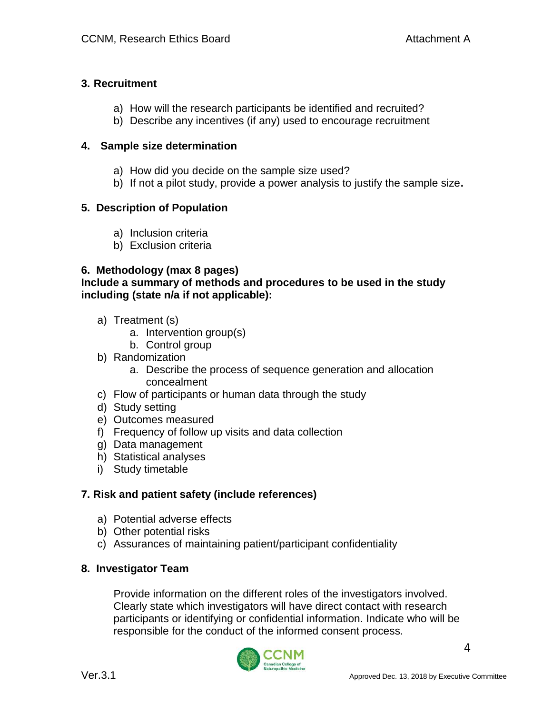### **3. Recruitment**

- a) How will the research participants be identified and recruited?
- b) Describe any incentives (if any) used to encourage recruitment

### **4. Sample size determination**

- a) How did you decide on the sample size used?
- b) If not a pilot study, provide a power analysis to justify the sample size**.**

## **5. Description of Population**

- a) Inclusion criteria
- b) Exclusion criteria

## **6. Methodology (max 8 pages)**

#### **Include a summary of methods and procedures to be used in the study including (state n/a if not applicable):**

- a) Treatment (s)
	- a. Intervention group(s)
	- b. Control group
- b) Randomization
	- a. Describe the process of sequence generation and allocation concealment
- c) Flow of participants or human data through the study
- d) Study setting
- e) Outcomes measured
- f) Frequency of follow up visits and data collection
- g) Data management
- h) Statistical analyses
- i) Study timetable

## **7. Risk and patient safety (include references)**

- a) Potential adverse effects
- b) Other potential risks
- c) Assurances of maintaining patient/participant confidentiality

## **8. Investigator Team**

Provide information on the different roles of the investigators involved. Clearly state which investigators will have direct contact with research participants or identifying or confidential information. Indicate who will be responsible for the conduct of the informed consent process.

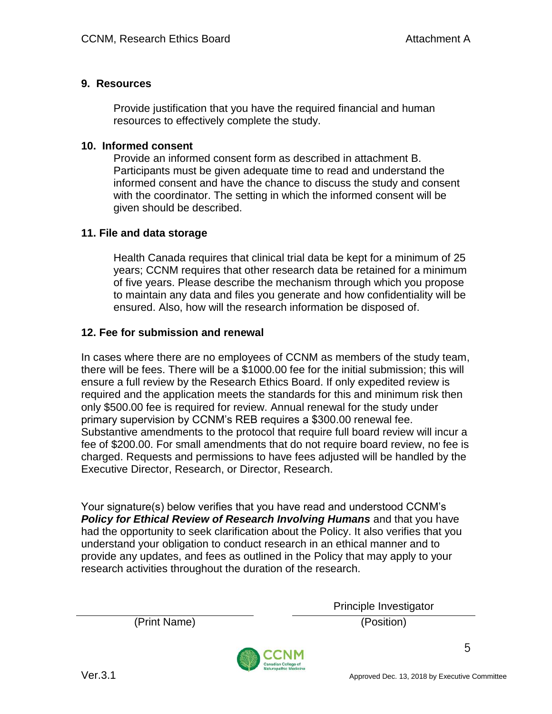#### **9. Resources**

Provide justification that you have the required financial and human resources to effectively complete the study.

#### **10. Informed consent**

Provide an informed consent form as described in attachment B. Participants must be given adequate time to read and understand the informed consent and have the chance to discuss the study and consent with the coordinator. The setting in which the informed consent will be given should be described.

#### **11. File and data storage**

Health Canada requires that clinical trial data be kept for a minimum of 25 years; CCNM requires that other research data be retained for a minimum of five years. Please describe the mechanism through which you propose to maintain any data and files you generate and how confidentiality will be ensured. Also, how will the research information be disposed of.

#### **12. Fee for submission and renewal**

In cases where there are no employees of CCNM as members of the study team, there will be fees. There will be a \$1000.00 fee for the initial submission; this will ensure a full review by the Research Ethics Board. If only expedited review is required and the application meets the standards for this and minimum risk then only \$500.00 fee is required for review. Annual renewal for the study under primary supervision by CCNM's REB requires a \$300.00 renewal fee. Substantive amendments to the protocol that require full board review will incur a fee of \$200.00. For small amendments that do not require board review, no fee is charged. Requests and permissions to have fees adjusted will be handled by the Executive Director, Research, or Director, Research.

Your signature(s) below verifies that you have read and understood CCNM's *Policy for Ethical Review of Research Involving Humans* and that you have had the opportunity to seek clarification about the Policy. It also verifies that you understand your obligation to conduct research in an ethical manner and to provide any updates, and fees as outlined in the Policy that may apply to your research activities throughout the duration of the research.

(Print Name) (Position)

Principle Investigator



5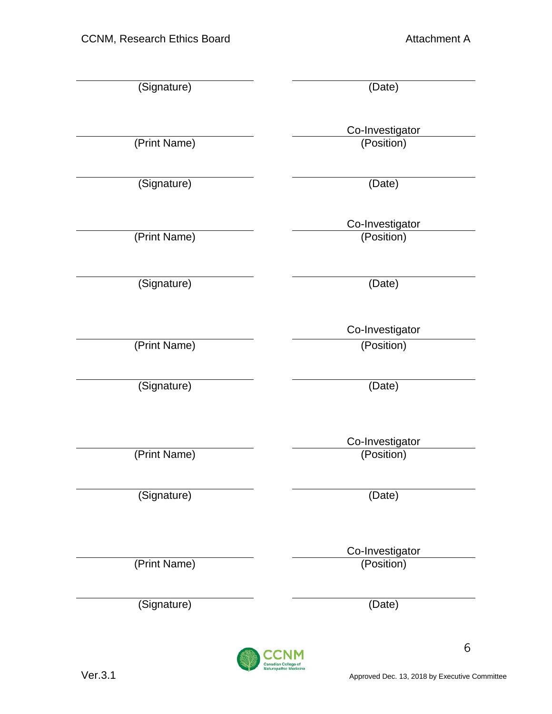| (Signature)  | (Date)                        |
|--------------|-------------------------------|
| (Print Name) | Co-Investigator<br>(Position) |
| (Signature)  | (Date)                        |
| (Print Name) | Co-Investigator<br>(Position) |
| (Signature)  | (Date)                        |
| (Print Name) | Co-Investigator<br>(Position) |
| (Signature)  | (Date)                        |
| (Print Name) | Co-Investigator<br>(Position) |
| (Signature)  | (Date)                        |
| (Print Name) | Co-Investigator<br>(Position) |
| (Signature)  | (Date)                        |



 $\sqrt{6}$